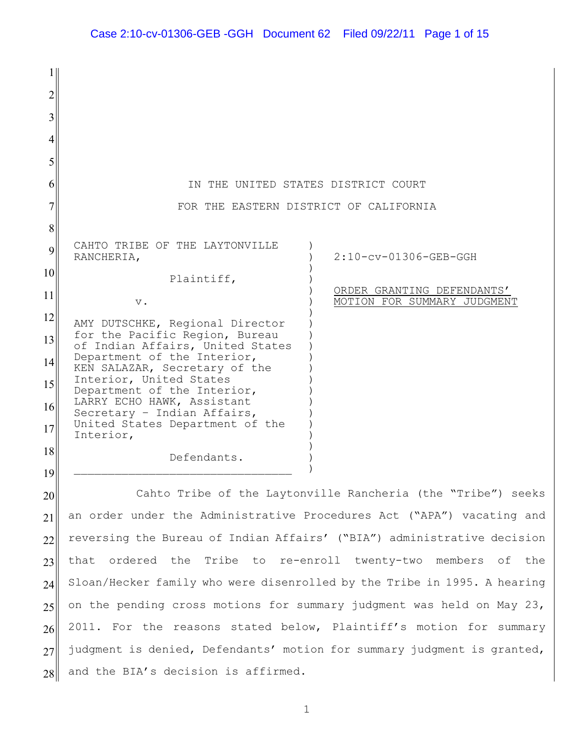| 2        |                                                                             |
|----------|-----------------------------------------------------------------------------|
| 3        |                                                                             |
| 4        |                                                                             |
| 5        |                                                                             |
| 6        | IN THE UNITED STATES DISTRICT COURT                                         |
| 7        | FOR THE EASTERN DISTRICT OF CALIFORNIA                                      |
| 8        |                                                                             |
| 9        | CAHTO TRIBE OF THE LAYTONVILLE<br>2:10-cv-01306-GEB-GGH<br>RANCHERIA,       |
| 10       | Plaintiff,                                                                  |
| 11       | ORDER GRANTING DEFENDANTS'<br>MOTION FOR SUMMARY JUDGMENT<br>$V$ .          |
| 12       | AMY DUTSCHKE, Regional Director<br>for the Pacific Region, Bureau           |
| 13       | of Indian Affairs, United States<br>Department of the Interior,             |
| 14       | KEN SALAZAR, Secretary of the<br>Interior, United States                    |
| 15       | Department of the Interior,<br>LARRY ECHO HAWK, Assistant                   |
| 16<br>17 | Secretary - Indian Affairs,<br>United States Department of the<br>Interior, |
| 18       | Defendants.                                                                 |
| 19       |                                                                             |
| 20       | Cahto Tribe of the Laytonville Rancheria (the "Tribe") seeks                |
| 21       | an order under the Administrative Procedures Act ("APA") vacating and       |
| 22       | reversing the Bureau of Indian Affairs' ("BIA") administrative decision     |
| 23       | that ordered the Tribe to re-enroll twenty-two members of the               |
| 24       | Sloan/Hecker family who were disenrolled by the Tribe in 1995. A hearing    |
| 25       | on the pending cross motions for summary judgment was held on May 23,       |
| 26       | 2011. For the reasons stated below, Plaintiff's motion for summary          |
| 27       | judgment is denied, Defendants' motion for summary judgment is granted,     |
| 28       | and the BIA's decision is affirmed.                                         |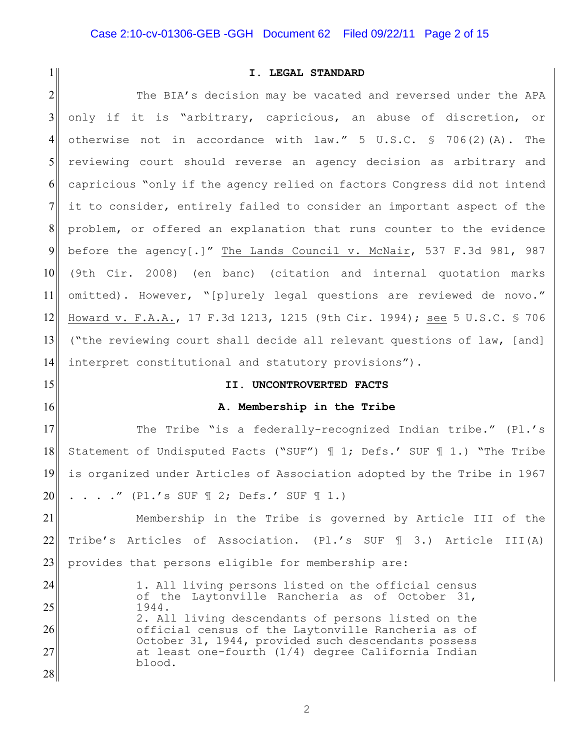# Case 2:10-cv-01306-GEB -GGH Document 62 Filed 09/22/11 Page 2 of 15

#### 1 2 3 4 5 6 7 8 9 10 11 12 13 14 15 16 17 18 19 20 21 22 23 24 25 **I. LEGAL STANDARD** The BIA's decision may be vacated and reversed under the APA only if it is "arbitrary, capricious, an abuse of discretion, or otherwise not in accordance with law." 5 U.S.C. § 706(2)(A). The reviewing court should reverse an agency decision as arbitrary and capricious "only if the agency relied on factors Congress did not intend it to consider, entirely failed to consider an important aspect of the problem, or offered an explanation that runs counter to the evidence before the agency[.]" The Lands Council v. McNair, 537 F.3d 981, 987 (9th Cir. 2008) (en banc) (citation and internal quotation marks omitted). However, "[p]urely legal questions are reviewed de novo." Howard v. F.A.A., 17 F.3d 1213, 1215 (9th Cir. 1994); see 5 U.S.C. § 706 ("the reviewing court shall decide all relevant questions of law, [and] interpret constitutional and statutory provisions"). **II. UNCONTROVERTED FACTS A. Membership in the Tribe** The Tribe "is a federally-recognized Indian tribe." (Pl.'s Statement of Undisputed Facts ("SUF") ¶ 1; Defs.' SUF ¶ 1.) "The Tribe is organized under Articles of Association adopted by the Tribe in 1967 . . . . " (Pl.'s SUF  $\mathbb{I}$  2; Defs.' SUF  $\mathbb{I}$  1.) Membership in the Tribe is governed by Article III of the Tribe's Articles of Association. (Pl.'s SUF ¶ 3.) Article III(A) provides that persons eligible for membership are: 1. All living persons listed on the official census of the Laytonville Rancheria as of October 31, 1944.

2. All living descendants of persons listed on the official census of the Laytonville Rancheria as of October 31, 1944, provided such descendants possess at least one-fourth (1/4) degree California Indian blood.

26

27

28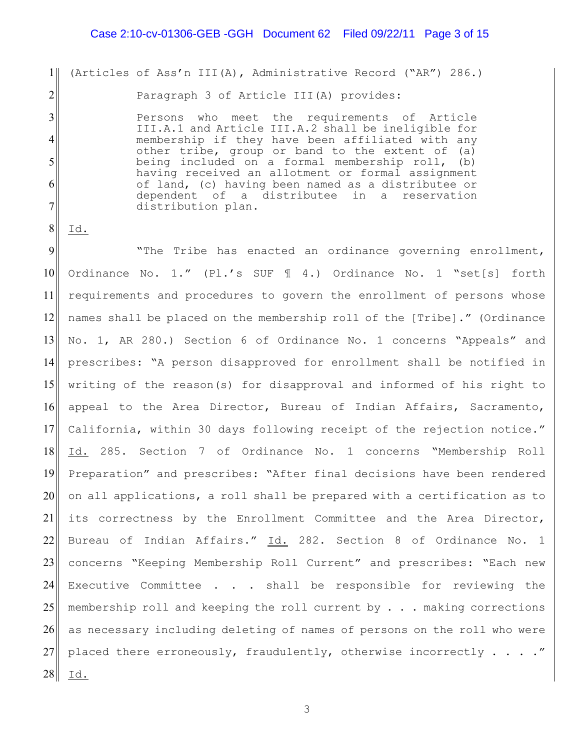# Case 2:10-cv-01306-GEB -GGH Document 62 Filed 09/22/11 Page 3 of 15

1 (Articles of Ass'n III(A), Administrative Record ("AR") 286.)

Paragraph 3 of Article III(A) provides:

Persons who meet the requirements of Article III.A.1 and Article III.A.2 shall be ineligible for membership if they have been affiliated with any other tribe, group or band to the extent of  $(a)$ being included on a formal membership roll, (b) having received an allotment or formal assignment of land, (c) having been named as a distributee or dependent of a distributee in a reservation distribution plan.

8 Id.

2

3

4

5

6

7

9 10 11 12 13 14 15 16 17 18 19 20 21 22 23 24 25 26 27 28 "The Tribe has enacted an ordinance governing enrollment, Ordinance No. 1." (Pl.'s SUF ¶ 4.) Ordinance No. 1 "set[s] forth requirements and procedures to govern the enrollment of persons whose names shall be placed on the membership roll of the [Tribe]." (Ordinance No. 1, AR 280.) Section 6 of Ordinance No. 1 concerns "Appeals" and prescribes: "A person disapproved for enrollment shall be notified in writing of the reason(s) for disapproval and informed of his right to appeal to the Area Director, Bureau of Indian Affairs, Sacramento, California, within 30 days following receipt of the rejection notice." Id. 285. Section 7 of Ordinance No. 1 concerns "Membership Roll Preparation" and prescribes: "After final decisions have been rendered on all applications, a roll shall be prepared with a certification as to its correctness by the Enrollment Committee and the Area Director, Bureau of Indian Affairs." Id. 282. Section 8 of Ordinance No. 1 concerns "Keeping Membership Roll Current" and prescribes: "Each new Executive Committee . . . shall be responsible for reviewing the membership roll and keeping the roll current by . . . making corrections as necessary including deleting of names of persons on the roll who were placed there erroneously, fraudulently, otherwise incorrectly . . . ." Id.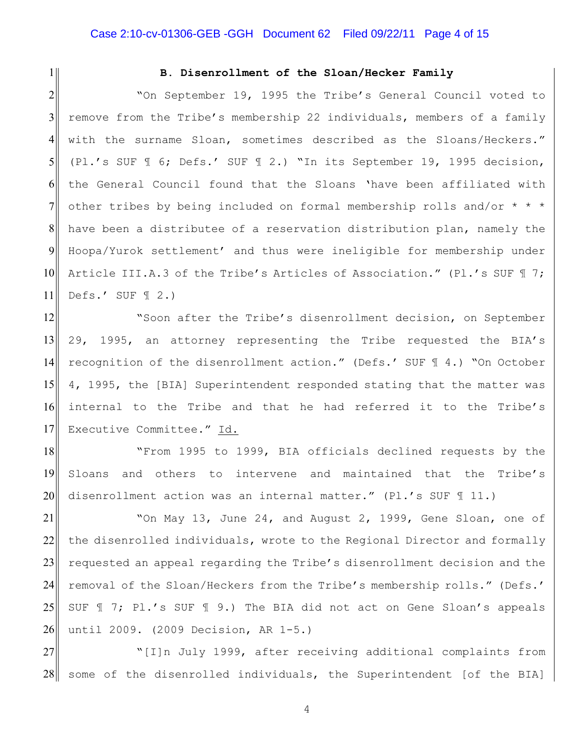# Case 2:10-cv-01306-GEB -GGH Document 62 Filed 09/22/11 Page 4 of 15

1

# **B. Disenrollment of the Sloan/Hecker Family**

 $2\|$ 3 4 5 6 7 8 9 10 11 "On September 19, 1995 the Tribe's General Council voted to remove from the Tribe's membership 22 individuals, members of a family with the surname Sloan, sometimes described as the Sloans/Heckers." (Pl.'s SUF ¶ 6; Defs.' SUF ¶ 2.) "In its September 19, 1995 decision, the General Council found that the Sloans 'have been affiliated with other tribes by being included on formal membership rolls and/or \* \* \* have been a distributee of a reservation distribution plan, namely the Hoopa/Yurok settlement' and thus were ineligible for membership under Article III.A.3 of the Tribe's Articles of Association." (Pl.'s SUF ¶ 7; Defs.' SUF  $\mathbb{I}$  2.)

12 13 14 15 16 17 "Soon after the Tribe's disenrollment decision, on September 29, 1995, an attorney representing the Tribe requested the BIA's recognition of the disenrollment action." (Defs.' SUF ¶ 4.) "On October 4, 1995, the [BIA] Superintendent responded stating that the matter was internal to the Tribe and that he had referred it to the Tribe's Executive Committee." Id.

18 19 20 "From 1995 to 1999, BIA officials declined requests by the Sloans and others to intervene and maintained that the Tribe's disenrollment action was an internal matter." (Pl.'s SUF ¶ 11.)

21 22 23 24 25 26 "On May 13, June 24, and August 2, 1999, Gene Sloan, one of the disenrolled individuals, wrote to the Regional Director and formally requested an appeal regarding the Tribe's disenrollment decision and the removal of the Sloan/Heckers from the Tribe's membership rolls." (Defs.' SUF  $\parallel$  7; Pl.'s SUF  $\parallel$  9.) The BIA did not act on Gene Sloan's appeals until 2009. (2009 Decision, AR 1-5.)

27 28 "[I]n July 1999, after receiving additional complaints from some of the disenrolled individuals, the Superintendent [of the BIA]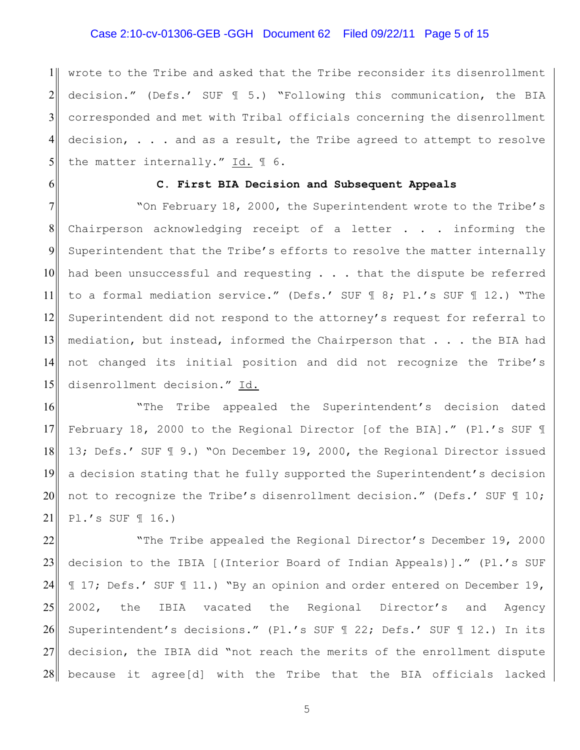# Case 2:10-cv-01306-GEB -GGH Document 62 Filed 09/22/11 Page 5 of 15

1 2 3 4 5 wrote to the Tribe and asked that the Tribe reconsider its disenrollment decision." (Defs.' SUF ¶ 5.) "Following this communication, the BIA corresponded and met with Tribal officials concerning the disenrollment decision, . . . and as a result, the Tribe agreed to attempt to resolve the matter internally." Id. ¶ 6.

6

#### **C. First BIA Decision and Subsequent Appeals**

7 8 9 10 11 12 13 14 15 "On February 18, 2000, the Superintendent wrote to the Tribe's Chairperson acknowledging receipt of a letter . . . informing the Superintendent that the Tribe's efforts to resolve the matter internally had been unsuccessful and requesting . . . that the dispute be referred to a formal mediation service." (Defs.' SUF ¶ 8; Pl.'s SUF ¶ 12.) "The Superintendent did not respond to the attorney's request for referral to mediation, but instead, informed the Chairperson that . . . the BIA had not changed its initial position and did not recognize the Tribe's disenrollment decision." Id.

16 17 18 19 20 21 "The Tribe appealed the Superintendent's decision dated February 18, 2000 to the Regional Director [of the BIA]." (Pl.'s SUF ¶ 13; Defs.' SUF ¶ 9.) "On December 19, 2000, the Regional Director issued a decision stating that he fully supported the Superintendent's decision not to recognize the Tribe's disenrollment decision." (Defs.' SUF ¶ 10; Pl.'s SUF ¶ 16.)

22 23 24 25 26 27 28 "The Tribe appealed the Regional Director's December 19, 2000 decision to the IBIA [(Interior Board of Indian Appeals)]." (Pl.'s SUF ¶ 17; Defs.' SUF ¶ 11.) "By an opinion and order entered on December 19, 2002, the IBIA vacated the Regional Director's and Agency Superintendent's decisions." (Pl.'s SUF ¶ 22; Defs.' SUF ¶ 12.) In its decision, the IBIA did "not reach the merits of the enrollment dispute because it agree[d] with the Tribe that the BIA officials lacked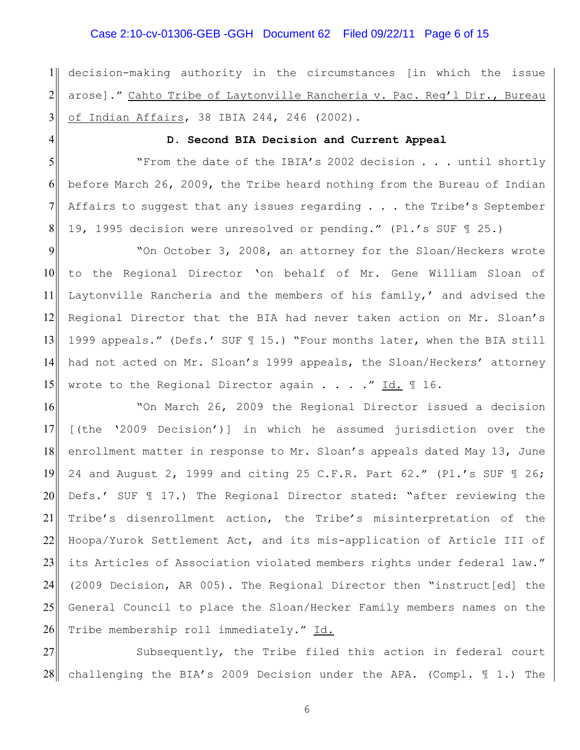# Case 2:10-cv-01306-GEB -GGH Document 62 Filed 09/22/11 Page 6 of 15

1 2 3 decision-making authority in the circumstances [in which the issue arose]." Cahto Tribe of Laytonville Rancheria v. Pac. Reg'l Dir., Bureau of Indian Affairs, 38 IBIA 244, 246 (2002).

4

#### **D. Second BIA Decision and Current Appeal**

5 6 7 8 "From the date of the IBIA's 2002 decision . . . until shortly before March 26, 2009, the Tribe heard nothing from the Bureau of Indian Affairs to suggest that any issues regarding . . . the Tribe's September 19, 1995 decision were unresolved or pending." (Pl.'s SUF ¶ 25.)

9 10 11 12 13 14 15 "On October 3, 2008, an attorney for the Sloan/Heckers wrote to the Regional Director 'on behalf of Mr. Gene William Sloan of Laytonville Rancheria and the members of his family,' and advised the Regional Director that the BIA had never taken action on Mr. Sloan's 1999 appeals." (Defs.' SUF 15.) "Four months later, when the BIA still had not acted on Mr. Sloan's 1999 appeals, the Sloan/Heckers' attorney wrote to the Regional Director again . . . . " Id.  $\mathbb I$  16.

16 17 18 19 20 21 22 23 24 25 26 "On March 26, 2009 the Regional Director issued a decision [(the '2009 Decision')] in which he assumed jurisdiction over the enrollment matter in response to Mr. Sloan's appeals dated May 13, June 24 and August 2, 1999 and citing 25 C.F.R. Part 62." (Pl.'s SUF ¶ 26; Defs.' SUF ¶ 17.) The Regional Director stated: "after reviewing the Tribe's disenrollment action, the Tribe's misinterpretation of the Hoopa/Yurok Settlement Act, and its mis-application of Article III of its Articles of Association violated members rights under federal law." (2009 Decision, AR 005). The Regional Director then "instruct[ed] the General Council to place the Sloan/Hecker Family members names on the Tribe membership roll immediately." Id.

27 28 Subsequently, the Tribe filed this action in federal court challenging the BIA's 2009 Decision under the APA. (Compl.  $\mathbb I$  1.) The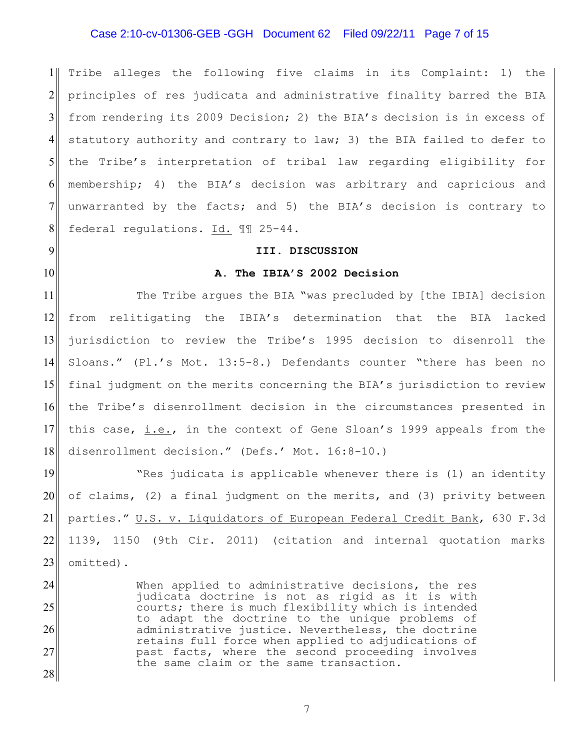## Case 2:10-cv-01306-GEB -GGH Document 62 Filed 09/22/11 Page 7 of 15

1 2 3 4 5 6 7 8 Tribe alleges the following five claims in its Complaint: 1) the principles of res judicata and administrative finality barred the BIA from rendering its 2009 Decision; 2) the BIA's decision is in excess of statutory authority and contrary to law; 3) the BIA failed to defer to the Tribe's interpretation of tribal law regarding eligibility for membership; 4) the BIA's decision was arbitrary and capricious and unwarranted by the facts; and 5) the BIA's decision is contrary to federal regulations. Id. ¶¶ 25-44.

#### **III. DISCUSSION**

9

10

24

25

26

27

28

#### **A. The IBIA'S 2002 Decision**

11 12 13 14 15 16 17 18 The Tribe argues the BIA "was precluded by [the IBIA] decision from relitigating the IBIA's determination that the BIA lacked jurisdiction to review the Tribe's 1995 decision to disenroll the Sloans." (Pl.'s Mot. 13:5-8.) Defendants counter "there has been no final judgment on the merits concerning the BIA's jurisdiction to review the Tribe's disenrollment decision in the circumstances presented in this case, i.e., in the context of Gene Sloan's 1999 appeals from the disenrollment decision." (Defs.' Mot. 16:8-10.)

19 20 21 22 23 "Res judicata is applicable whenever there is (1) an identity of claims, (2) a final judgment on the merits, and (3) privity between parties." U.S. v. Liquidators of European Federal Credit Bank, 630 F.3d 1139, 1150 (9th Cir. 2011) (citation and internal quotation marks omitted).

> When applied to administrative decisions, the res judicata doctrine is not as rigid as it is with courts; there is much flexibility which is intended to adapt the doctrine to the unique problems of administrative justice. Nevertheless, the doctrine retains full force when applied to adjudications of past facts, where the second proceeding involves the same claim or the same transaction.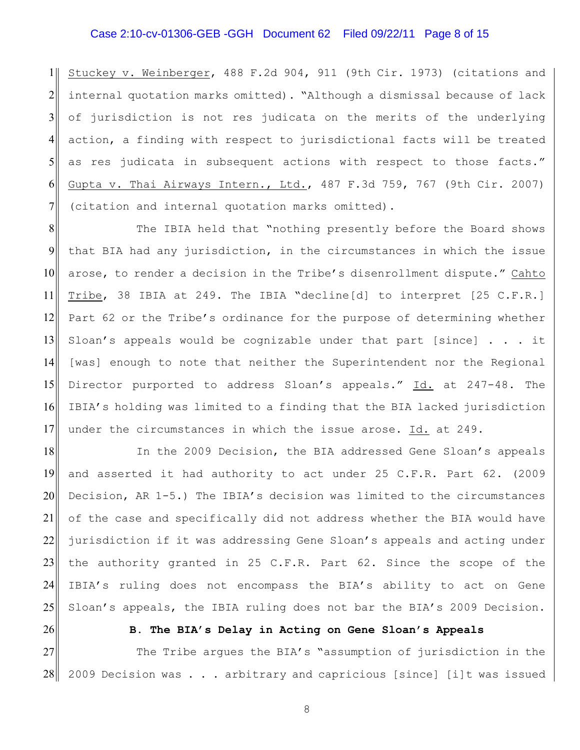# Case 2:10-cv-01306-GEB -GGH Document 62 Filed 09/22/11 Page 8 of 15

 $1<sub>||</sub>$ 2 3 4 5 6 7 Stuckey v. Weinberger, 488 F.2d 904, 911 (9th Cir. 1973) (citations and internal quotation marks omitted). "Although a dismissal because of lack of jurisdiction is not res judicata on the merits of the underlying action, a finding with respect to jurisdictional facts will be treated as res judicata in subsequent actions with respect to those facts." Gupta v. Thai Airways Intern., Ltd., 487 F.3d 759, 767 (9th Cir. 2007) (citation and internal quotation marks omitted).

8 9 10 11 12 13 14 15 16 17 The IBIA held that "nothing presently before the Board shows that BIA had any jurisdiction, in the circumstances in which the issue arose, to render a decision in the Tribe's disenrollment dispute." Cahto Tribe, 38 IBIA at 249. The IBIA "decline[d] to interpret [25 C.F.R.] Part 62 or the Tribe's ordinance for the purpose of determining whether Sloan's appeals would be cognizable under that part [since] . . . it [was] enough to note that neither the Superintendent nor the Regional Director purported to address Sloan's appeals." Id. at 247-48. The IBIA's holding was limited to a finding that the BIA lacked jurisdiction under the circumstances in which the issue arose. Id. at 249.

18 19 20 21 22 23 24 25 In the 2009 Decision, the BIA addressed Gene Sloan's appeals and asserted it had authority to act under 25 C.F.R. Part 62. (2009 Decision, AR 1-5.) The IBIA's decision was limited to the circumstances of the case and specifically did not address whether the BIA would have jurisdiction if it was addressing Gene Sloan's appeals and acting under the authority granted in 25 C.F.R. Part 62. Since the scope of the IBIA's ruling does not encompass the BIA's ability to act on Gene Sloan's appeals, the IBIA ruling does not bar the BIA's 2009 Decision.

**B. The BIA's Delay in Acting on Gene Sloan's Appeals**

26

27 28 The Tribe argues the BIA's "assumption of jurisdiction in the 2009 Decision was . . . arbitrary and capricious [since] [i]t was issued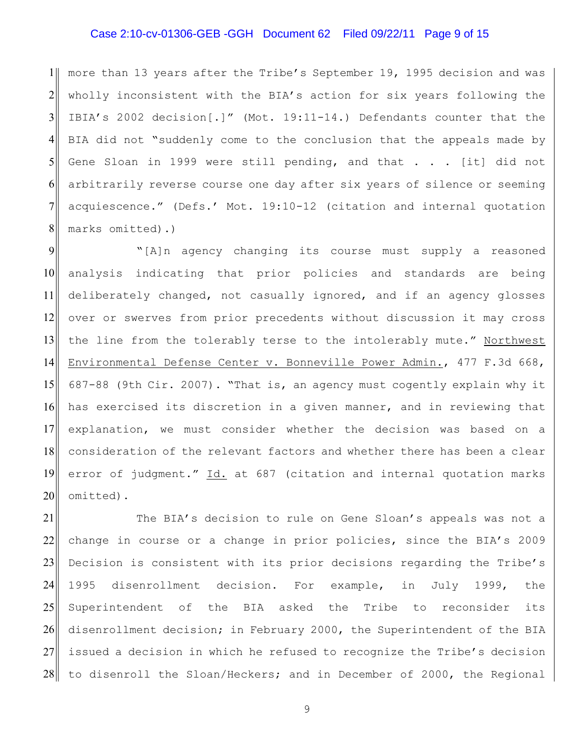### Case 2:10-cv-01306-GEB -GGH Document 62 Filed 09/22/11 Page 9 of 15

1 2 3 4 5 6 7 8 more than 13 years after the Tribe's September 19, 1995 decision and was wholly inconsistent with the BIA's action for six years following the IBIA's 2002 decision[.]" (Mot. 19:11-14.) Defendants counter that the BIA did not "suddenly come to the conclusion that the appeals made by Gene Sloan in 1999 were still pending, and that . . . [it] did not arbitrarily reverse course one day after six years of silence or seeming acquiescence." (Defs.' Mot. 19:10-12 (citation and internal quotation marks omitted).)

9 10 11 12 13 14 15 16 17 18 19 20 "[A]n agency changing its course must supply a reasoned analysis indicating that prior policies and standards are being deliberately changed, not casually ignored, and if an agency glosses over or swerves from prior precedents without discussion it may cross the line from the tolerably terse to the intolerably mute." Northwest Environmental Defense Center v. Bonneville Power Admin., 477 F.3d 668, 687-88 (9th Cir. 2007). "That is, an agency must cogently explain why it has exercised its discretion in a given manner, and in reviewing that explanation, we must consider whether the decision was based on a consideration of the relevant factors and whether there has been a clear error of judgment." Id. at 687 (citation and internal quotation marks omitted).

21 22 23 24 25 26 27 28 The BIA's decision to rule on Gene Sloan's appeals was not a change in course or a change in prior policies, since the BIA's 2009 Decision is consistent with its prior decisions regarding the Tribe's 1995 disenrollment decision. For example, in July 1999, the Superintendent of the BIA asked the Tribe to reconsider its disenrollment decision; in February 2000, the Superintendent of the BIA issued a decision in which he refused to recognize the Tribe's decision to disenroll the Sloan/Heckers; and in December of 2000, the Regional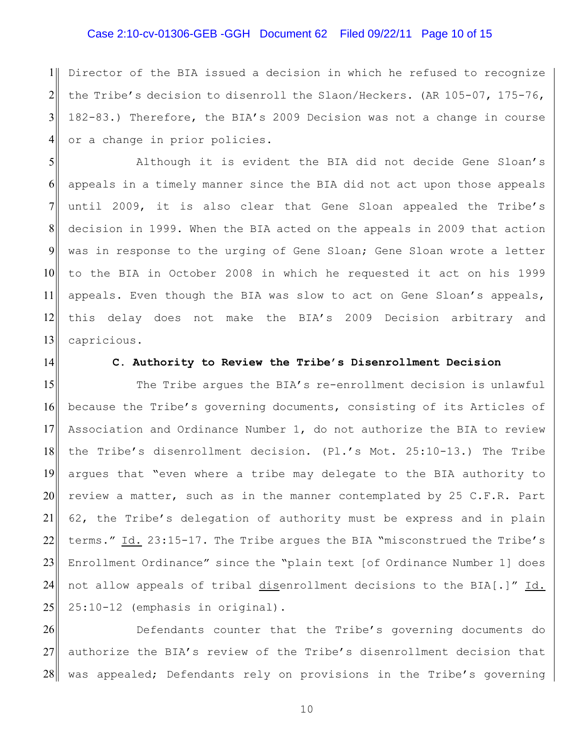## Case 2:10-cv-01306-GEB -GGH Document 62 Filed 09/22/11 Page 10 of 15

1 2 3 4 Director of the BIA issued a decision in which he refused to recognize the Tribe's decision to disenroll the Slaon/Heckers. (AR 105-07, 175-76, 182-83.) Therefore, the BIA's 2009 Decision was not a change in course or a change in prior policies.

5 6 7 8 9 10 11 12 13 Although it is evident the BIA did not decide Gene Sloan's appeals in a timely manner since the BIA did not act upon those appeals until 2009, it is also clear that Gene Sloan appealed the Tribe's decision in 1999. When the BIA acted on the appeals in 2009 that action was in response to the urging of Gene Sloan; Gene Sloan wrote a letter to the BIA in October 2008 in which he requested it act on his 1999 appeals. Even though the BIA was slow to act on Gene Sloan's appeals, this delay does not make the BIA's 2009 Decision arbitrary and capricious.

14

#### **C. Authority to Review the Tribe's Disenrollment Decision**

15 16 17 18 19 20 21 22 23 24 25 The Tribe argues the BIA's re-enrollment decision is unlawful because the Tribe's governing documents, consisting of its Articles of Association and Ordinance Number 1, do not authorize the BIA to review the Tribe's disenrollment decision. (Pl.'s Mot. 25:10-13.) The Tribe argues that "even where a tribe may delegate to the BIA authority to review a matter, such as in the manner contemplated by 25 C.F.R. Part 62, the Tribe's delegation of authority must be express and in plain terms." Id. 23:15-17. The Tribe argues the BIA "misconstrued the Tribe's Enrollment Ordinance" since the "plain text [of Ordinance Number 1] does not allow appeals of tribal disenrollment decisions to the BIA[.]" Id. 25:10-12 (emphasis in original).

26 27 28 Defendants counter that the Tribe's governing documents do authorize the BIA's review of the Tribe's disenrollment decision that was appealed; Defendants rely on provisions in the Tribe's governing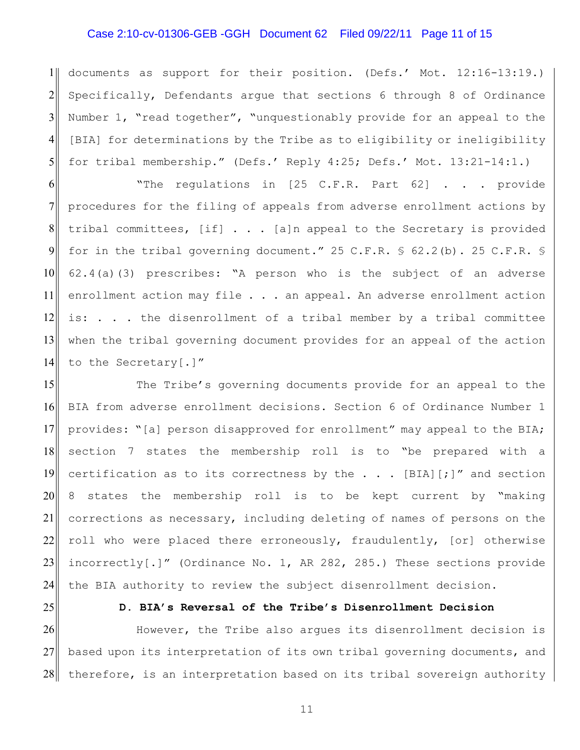# Case 2:10-cv-01306-GEB -GGH Document 62 Filed 09/22/11 Page 11 of 15

1 2 3 4 5 documents as support for their position. (Defs.' Mot. 12:16-13:19.) Specifically, Defendants argue that sections 6 through 8 of Ordinance Number 1, "read together", "unquestionably provide for an appeal to the [BIA] for determinations by the Tribe as to eligibility or ineligibility for tribal membership." (Defs.' Reply 4:25; Defs.' Mot. 13:21-14:1.)

6 7 8 9 10 11 12 13 14 "The regulations in [25 C.F.R. Part 62] . . . provide procedures for the filing of appeals from adverse enrollment actions by tribal committees, [if] . . . [a]n appeal to the Secretary is provided for in the tribal governing document." 25 C.F.R. § 62.2(b). 25 C.F.R. § 62.4(a)(3) prescribes: "A person who is the subject of an adverse enrollment action may file . . . an appeal. An adverse enrollment action is: . . . the disenrollment of a tribal member by a tribal committee when the tribal governing document provides for an appeal of the action to the Secretary[.]"

15 16 17 18 19 20 21 22 23 24 The Tribe's governing documents provide for an appeal to the BIA from adverse enrollment decisions. Section 6 of Ordinance Number 1 provides: "[a] person disapproved for enrollment" may appeal to the BIA; section 7 states the membership roll is to "be prepared with a certification as to its correctness by the  $\ldots$  [BIA][;]" and section 8 states the membership roll is to be kept current by "making corrections as necessary, including deleting of names of persons on the roll who were placed there erroneously, fraudulently, [or] otherwise incorrectly[.]" (Ordinance No. 1, AR 282, 285.) These sections provide the BIA authority to review the subject disenrollment decision.

25

**D. BIA's Reversal of the Tribe's Disenrollment Decision**

26 27 28 However, the Tribe also argues its disenrollment decision is based upon its interpretation of its own tribal governing documents, and therefore, is an interpretation based on its tribal sovereign authority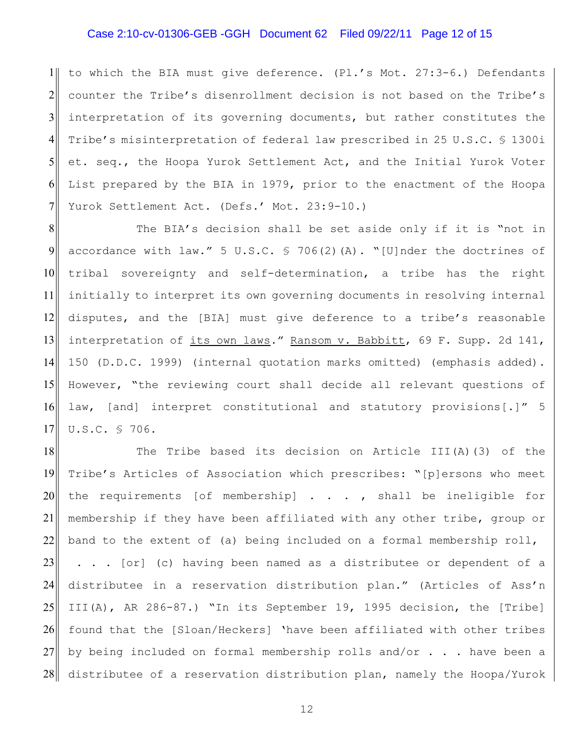### Case 2:10-cv-01306-GEB -GGH Document 62 Filed 09/22/11 Page 12 of 15

1 2 3 4 5 6 7 to which the BIA must give deference. (Pl.'s Mot. 27:3-6.) Defendants counter the Tribe's disenrollment decision is not based on the Tribe's interpretation of its governing documents, but rather constitutes the Tribe's misinterpretation of federal law prescribed in 25 U.S.C. § 1300i et. seq., the Hoopa Yurok Settlement Act, and the Initial Yurok Voter List prepared by the BIA in 1979, prior to the enactment of the Hoopa Yurok Settlement Act. (Defs.' Mot. 23:9-10.)

8 9 10 11 12 13 14 15 16 17 The BIA's decision shall be set aside only if it is "not in accordance with law." 5 U.S.C. § 706(2)(A). "[U]nder the doctrines of tribal sovereignty and self-determination, a tribe has the right initially to interpret its own governing documents in resolving internal disputes, and the [BIA] must give deference to a tribe's reasonable interpretation of its own laws." Ransom v. Babbitt, 69 F. Supp. 2d 141, 150 (D.D.C. 1999) (internal quotation marks omitted) (emphasis added). However, "the reviewing court shall decide all relevant questions of law, [and] interpret constitutional and statutory provisions[.]" 5 U.S.C. § 706.

18 19 20 21 22 23 24 25 26 27 28 The Tribe based its decision on Article III(A)(3) of the Tribe's Articles of Association which prescribes: "[p]ersons who meet the requirements [of membership]  $\ldots$ , shall be ineligible for membership if they have been affiliated with any other tribe, group or band to the extent of (a) being included on a formal membership roll, . . . [or] (c) having been named as a distributee or dependent of a distributee in a reservation distribution plan." (Articles of Ass'n III(A), AR 286-87.) "In its September 19, 1995 decision, the [Tribe] found that the [Sloan/Heckers] 'have been affiliated with other tribes by being included on formal membership rolls and/or  $\ldots$  . have been a distributee of a reservation distribution plan, namely the Hoopa/Yurok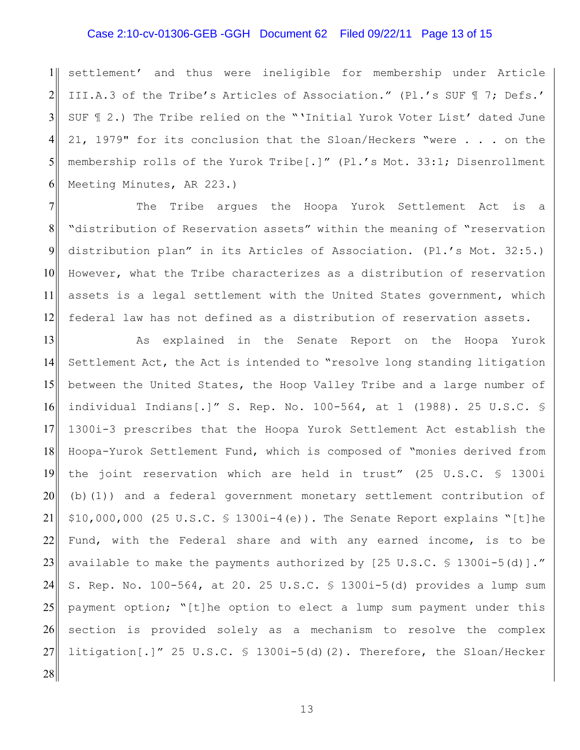### Case 2:10-cv-01306-GEB -GGH Document 62 Filed 09/22/11 Page 13 of 15

1 2 3 4 5 6 settlement' and thus were ineligible for membership under Article III.A.3 of the Tribe's Articles of Association." (Pl.'s SUF ¶ 7; Defs.' SUF ¶ 2.) The Tribe relied on the "'Initial Yurok Voter List' dated June 21, 1979" for its conclusion that the Sloan/Heckers "were . . . on the membership rolls of the Yurok Tribe[.]" (Pl.'s Mot. 33:1; Disenrollment Meeting Minutes, AR 223.)

7 8 9 10 11 12 The Tribe argues the Hoopa Yurok Settlement Act is a "distribution of Reservation assets" within the meaning of "reservation distribution plan" in its Articles of Association. (Pl.'s Mot. 32:5.) However, what the Tribe characterizes as a distribution of reservation assets is a legal settlement with the United States government, which federal law has not defined as a distribution of reservation assets.

13 14 15 16 17 18 19 20 21 22 23 24 25 26 27 28 As explained in the Senate Report on the Hoopa Yurok Settlement Act, the Act is intended to "resolve long standing litigation between the United States, the Hoop Valley Tribe and a large number of individual Indians[.]" S. Rep. No. 100-564, at 1 (1988). 25 U.S.C. § 1300i-3 prescribes that the Hoopa Yurok Settlement Act establish the Hoopa-Yurok Settlement Fund, which is composed of "monies derived from the joint reservation which are held in trust" (25 U.S.C. § 1300i (b)(1)) and a federal government monetary settlement contribution of \$10,000,000 (25 U.S.C. § 1300i-4(e)). The Senate Report explains "[t]he Fund, with the Federal share and with any earned income, is to be available to make the payments authorized by [25 U.S.C. § 1300i-5(d)]." S. Rep. No. 100-564, at 20. 25 U.S.C. § 1300i-5(d) provides a lump sum payment option; "[t]he option to elect a lump sum payment under this section is provided solely as a mechanism to resolve the complex litigation[.]" 25 U.S.C. § 1300i-5(d)(2). Therefore, the Sloan/Hecker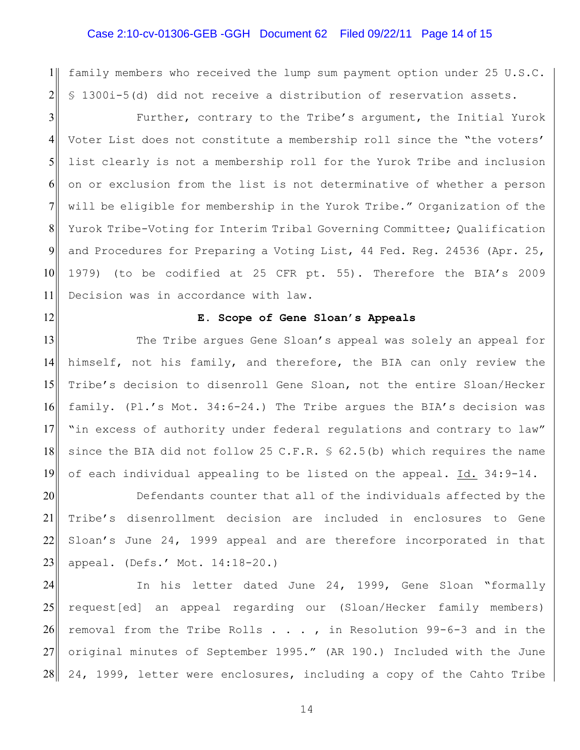### Case 2:10-cv-01306-GEB -GGH Document 62 Filed 09/22/11 Page 14 of 15

1 2 family members who received the lump sum payment option under 25 U.S.C. § 1300i-5(d) did not receive a distribution of reservation assets.

3 4 5 6 7 8 9 10 11 Further, contrary to the Tribe's argument, the Initial Yurok Voter List does not constitute a membership roll since the "the voters' list clearly is not a membership roll for the Yurok Tribe and inclusion on or exclusion from the list is not determinative of whether a person will be eligible for membership in the Yurok Tribe." Organization of the Yurok Tribe-Voting for Interim Tribal Governing Committee; Qualification and Procedures for Preparing a Voting List, 44 Fed. Reg. 24536 (Apr. 25, 1979) (to be codified at 25 CFR pt. 55). Therefore the BIA's 2009 Decision was in accordance with law.

12

#### **E. Scope of Gene Sloan's Appeals**

13 14 15 16 17 18 19 The Tribe argues Gene Sloan's appeal was solely an appeal for himself, not his family, and therefore, the BIA can only review the Tribe's decision to disenroll Gene Sloan, not the entire Sloan/Hecker family. (Pl.'s Mot. 34:6-24.) The Tribe argues the BIA's decision was "in excess of authority under federal regulations and contrary to law" since the BIA did not follow 25 C.F.R.  $\frac{62.5}{b}$  which requires the name of each individual appealing to be listed on the appeal. Id. 34:9-14.

20 21 22 23 Defendants counter that all of the individuals affected by the Tribe's disenrollment decision are included in enclosures to Gene Sloan's June 24, 1999 appeal and are therefore incorporated in that appeal. (Defs.' Mot. 14:18-20.)

24 25 26 27 28 In his letter dated June 24, 1999, Gene Sloan "formally request[ed] an appeal regarding our (Sloan/Hecker family members) removal from the Tribe Rolls . . . , in Resolution 99-6-3 and in the original minutes of September 1995." (AR 190.) Included with the June 24, 1999, letter were enclosures, including a copy of the Cahto Tribe